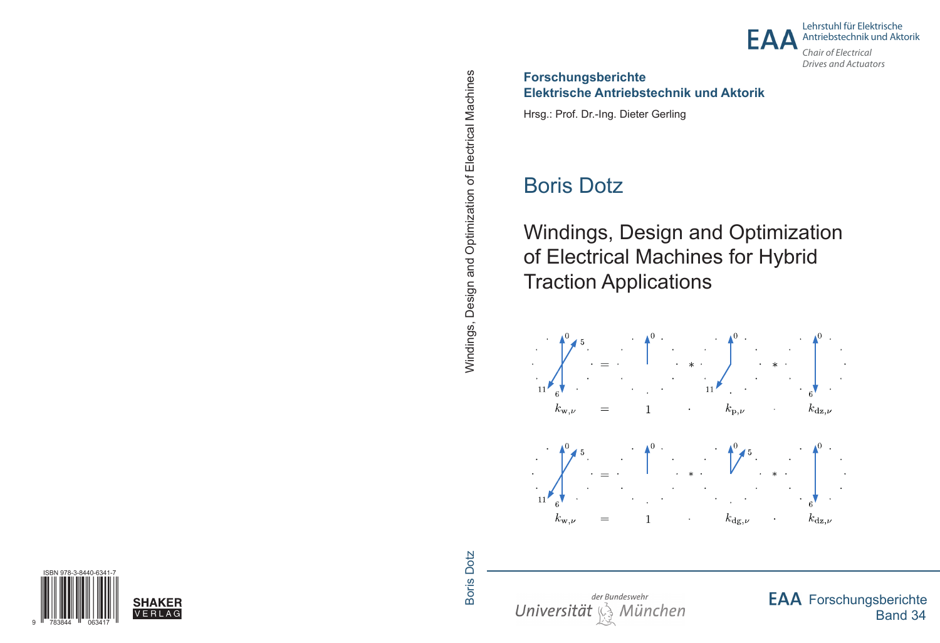

Lehrstuhl für Elektrische Antriebstechnik und Aktorik

Chair of Flectrical **Drives and Actuators** 

#### **Forschungsberichte** Elektrische Antriebstechnik und Aktorik

Hrsg.: Prof. Dr.-Ing. Dieter Gerling

# **Boris Dotz**

**Windings, Design and Optimization** of Electrical Machines for Hybrid **Traction Applications** 



der Bundeswehr Universität , München **EAA** Forschungsberichte **Band 34**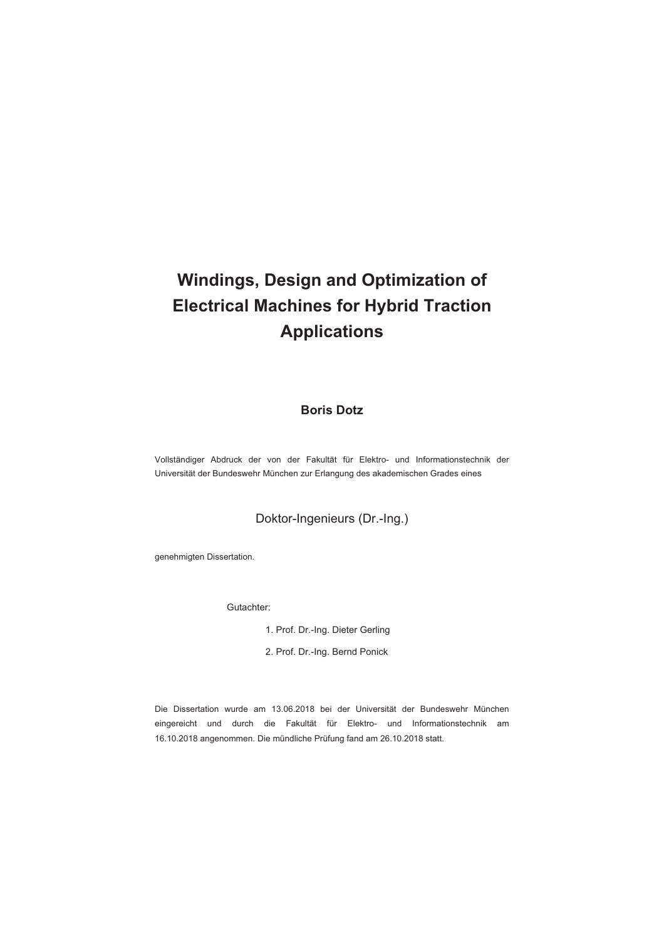# **Windings, Design and Optimization of Electrical Machines for Hybrid Traction Applications**

#### **Boris Dotz**

Vollständiger Abdruck der von der Fakultät für Elektro- und Informationstechnik der Universität der Bundeswehr München zur Erlangung des akademischen Grades eines

#### Doktor-Ingenieurs (Dr.-Ing.)

genehmigten Dissertation.

Gutachter:

- 1. Prof. Dr.-Ing. Dieter Gerling
- 2. Prof. Dr.-Ing. Bernd Ponick

Die Dissertation wurde am 13.06.2018 bei der Universität der Bundeswehr München eingereicht und durch die Fakultät für Elektro- und Informationstechnik am 16.10.2018 angenommen. Die mündliche Prüfung fand am 26.10.2018 statt.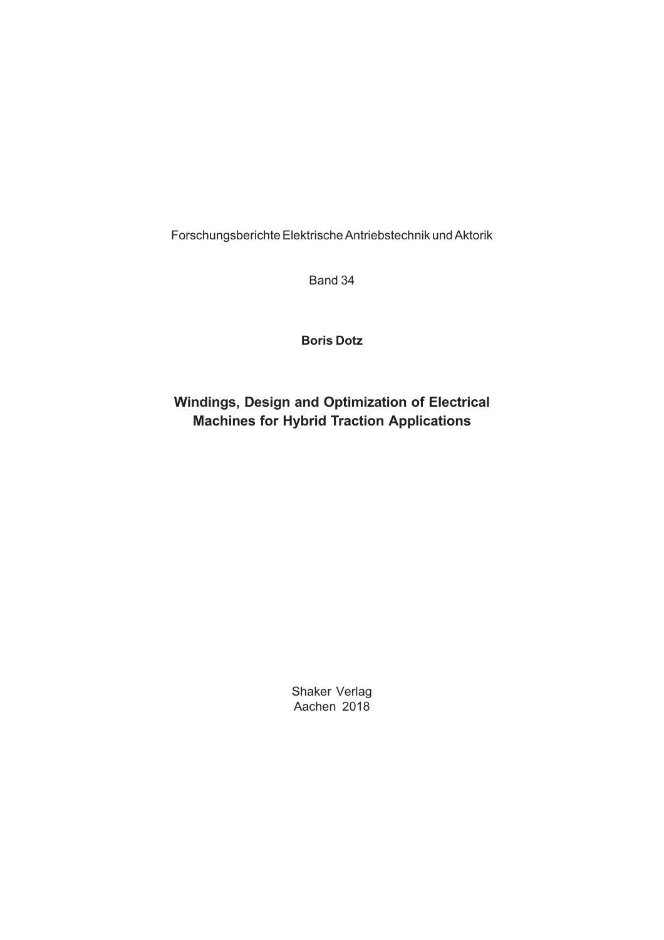Forschungsberichte Elektrische Antriebstechnik und Aktorik

Band 34

### **Boris Dotz**

### **Windings, Design and Optimization of Electrical Machines for Hybrid Traction Applications**

Shaker Verlag Aachen 2018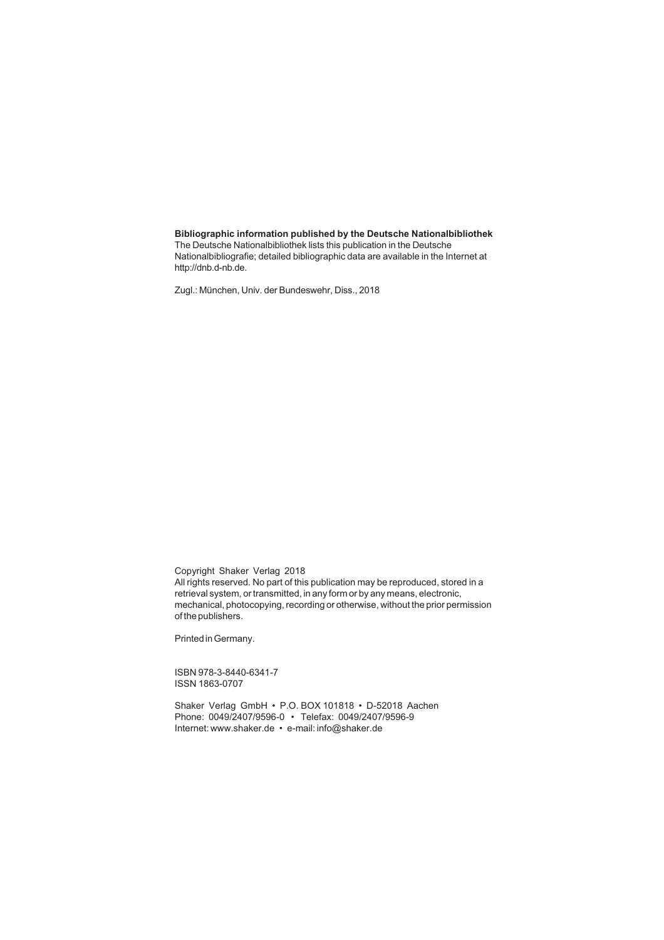#### **Bibliographic information published by the Deutsche Nationalbibliothek**

The Deutsche Nationalbibliothek lists this publication in the Deutsche Nationalbibliografie; detailed bibliographic data are available in the Internet at http://dnb.d-nb.de.

Zugl.: München, Univ. der Bundeswehr, Diss., 2018

Copyright Shaker Verlag 2018

All rights reserved. No part of this publication may be reproduced, stored in a retrieval system, or transmitted, in any form or by any means, electronic, mechanical, photocopying, recording or otherwise, without the prior permission of the publishers.

Printed in Germany.

ISBN 978-3-8440-6341-7 ISSN 1863-0707

Shaker Verlag GmbH • P.O. BOX 101818 • D-52018 Aachen Phone: 0049/2407/9596-0 • Telefax: 0049/2407/9596-9 Internet: www.shaker.de • e-mail: info@shaker.de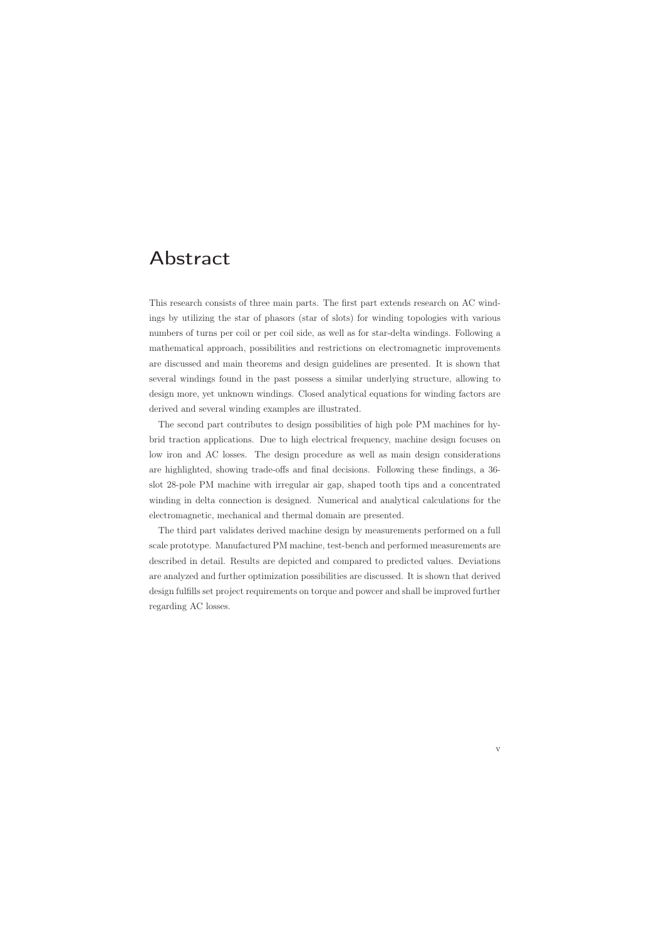### Abstract

This research consists of three main parts. The first part extends research on AC windings by utilizing the star of phasors (star of slots) for winding topologies with various numbers of turns per coil or per coil side, as well as for star-delta windings. Following a mathematical approach, possibilities and restrictions on electromagnetic improvements are discussed and main theorems and design guidelines are presented. It is shown that several windings found in the past possess a similar underlying structure, allowing to design more, yet unknown windings. Closed analytical equations for winding factors are derived and several winding examples are illustrated.

The second part contributes to design possibilities of high pole PM machines for hybrid traction applications. Due to high electrical frequency, machine design focuses on low iron and AC losses. The design procedure as well as main design considerations are highlighted, showing trade-offs and final decisions. Following these findings, a 36 slot 28-pole PM machine with irregular air gap, shaped tooth tips and a concentrated winding in delta connection is designed. Numerical and analytical calculations for the electromagnetic, mechanical and thermal domain are presented.

The third part validates derived machine design by measurements performed on a full scale prototype. Manufactured PM machine, test-bench and performed measurements are described in detail. Results are depicted and compared to predicted values. Deviations are analyzed and further optimization possibilities are discussed. It is shown that derived design fulfills set project requirements on torque and powcer and shall be improved further regarding AC losses.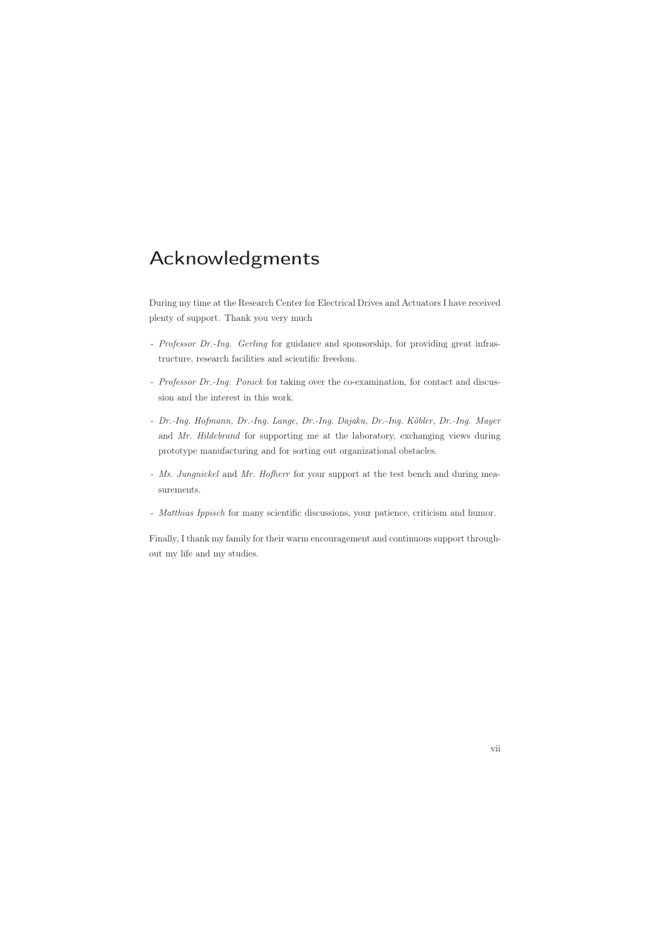### Acknowledgments

During my time at the Research Center for Electrical Drives and Actuators I have received plenty of support. Thank you very much

- *Professor Dr.-Ing. Gerling* for guidance and sponsorship, for providing great infrastructure, research facilities and scientific freedom.
- *Professor Dr.-Ing. Ponick* for taking over the co-examination, for contact and discussion and the interest in this work.
- *Dr.-Ing. Hofmann, Dr.-Ing. Lange, Dr.-Ing. Dajaku, Dr.-Ing. Köbler, Dr.-Ing. Mayer* and *Mr. Hildebrand* for supporting me at the laboratory, exchanging views during prototype manufacturing and for sorting out organizational obstacles.
- *Ms. Jungnickel* and *Mr. Hofherr* for your support at the test bench and during measurements.
- *Matthias Ippisch* for many scientific discussions, your patience, criticism and humor.

Finally, I thank my family for their warm encouragement and continuous support throughout my life and my studies.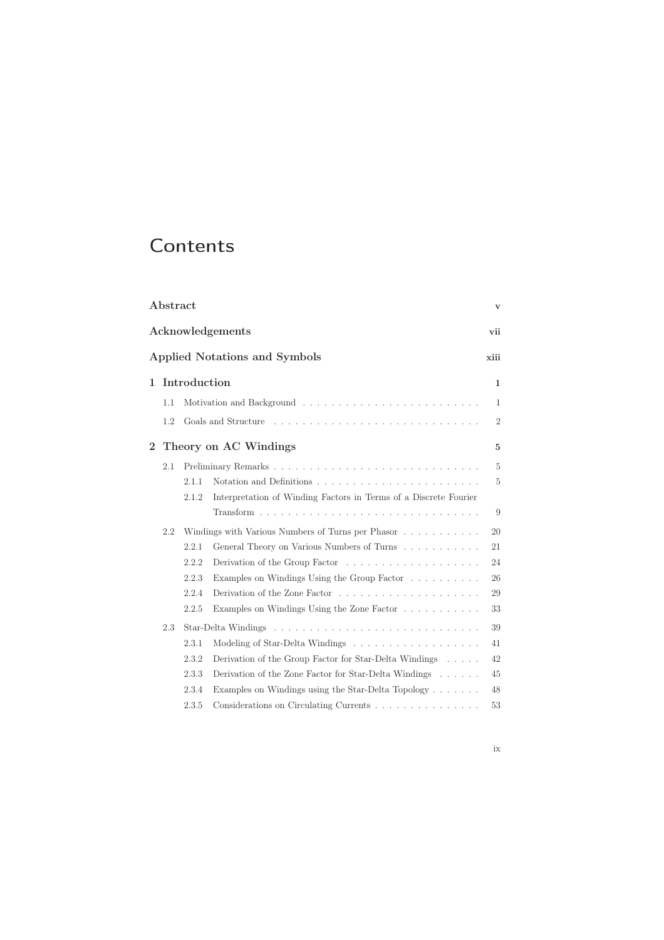## **Contents**

|                | ${\rm Abstract}$<br>$\mathbf{V}$ |              |                                                                        |                |  |  |     |
|----------------|----------------------------------|--------------|------------------------------------------------------------------------|----------------|--|--|-----|
|                | Acknowledgements                 |              |                                                                        |                |  |  | vii |
|                |                                  |              | <b>Applied Notations and Symbols</b>                                   | xiii           |  |  |     |
| $\mathbf{1}$   |                                  | Introduction |                                                                        | $\mathbf{1}$   |  |  |     |
|                | 1.1                              |              |                                                                        | $\mathbf{1}$   |  |  |     |
|                | 1.2                              |              |                                                                        | $\sqrt{2}$     |  |  |     |
| $\overline{2}$ |                                  |              | Theory on AC Windings                                                  | 5              |  |  |     |
|                | 2.1                              |              |                                                                        | $\overline{5}$ |  |  |     |
|                |                                  | 2.1.1        |                                                                        | $\overline{5}$ |  |  |     |
|                |                                  | 2.1.2        | Interpretation of Winding Factors in Terms of a Discrete Fourier       |                |  |  |     |
|                |                                  |              |                                                                        | 9              |  |  |     |
|                | 2.2                              |              | Windings with Various Numbers of Turns per Phasor                      | 20             |  |  |     |
|                |                                  | 2.2.1        | General Theory on Various Numbers of Turns                             | 21             |  |  |     |
|                |                                  | 2.2.2        | Derivation of the Group Factor                                         | 24             |  |  |     |
|                |                                  | 2.2.3        | Examples on Windings Using the Group Factor                            | 26             |  |  |     |
|                |                                  | 2.2.4        |                                                                        | 29             |  |  |     |
|                |                                  | 2.2.5        | Examples on Windings Using the Zone Factor                             | 33             |  |  |     |
|                | 2.3                              |              |                                                                        | 39             |  |  |     |
|                |                                  | 2.3.1        |                                                                        | 41             |  |  |     |
|                |                                  | 2.3.2        | Derivation of the Group Factor for Star-Delta Windings $\ldots \ldots$ | 42             |  |  |     |
|                |                                  | 2.3.3        | Derivation of the Zone Factor for Star-Delta Windings                  | 45             |  |  |     |
|                |                                  | 2.3.4        | Examples on Windings using the Star-Delta Topology $\ldots \ldots$     | 48             |  |  |     |
|                |                                  | 2.3.5        | Considerations on Circulating Currents                                 | 53             |  |  |     |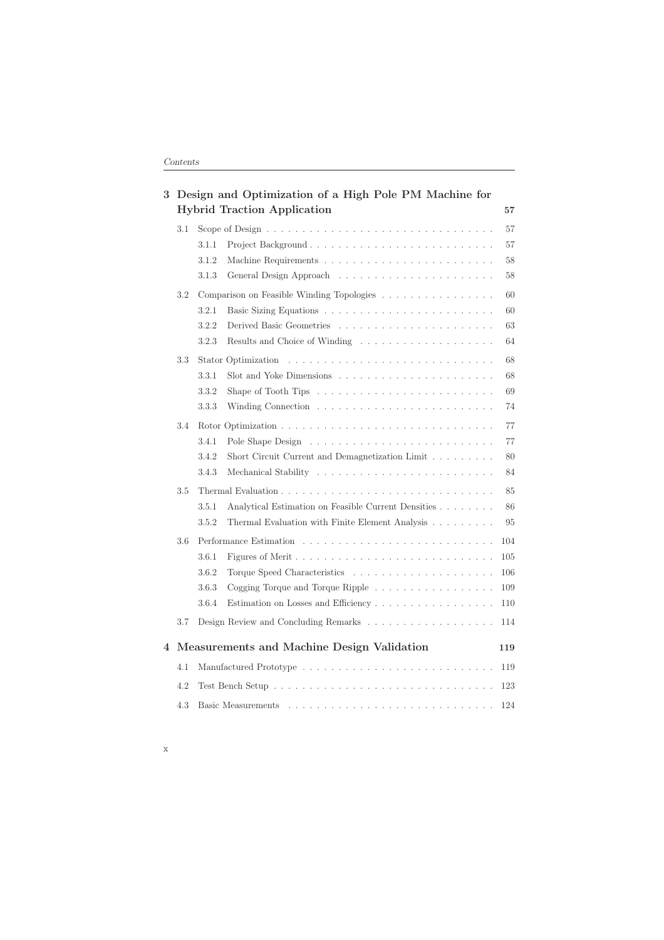| 3 |     | Design and Optimization of a High Pole PM Machine for<br><b>Hybrid Traction Application</b>                                                                                                                                           |    |  |
|---|-----|---------------------------------------------------------------------------------------------------------------------------------------------------------------------------------------------------------------------------------------|----|--|
|   | 3.1 |                                                                                                                                                                                                                                       | 57 |  |
|   |     | 3.1.1                                                                                                                                                                                                                                 | 57 |  |
|   |     | 3.1.2                                                                                                                                                                                                                                 | 58 |  |
|   |     | 3.1.3                                                                                                                                                                                                                                 | 58 |  |
|   | 3.2 | 60<br>Comparison on Feasible Winding Topologies                                                                                                                                                                                       |    |  |
|   |     | 3.2.1                                                                                                                                                                                                                                 | 60 |  |
|   |     | 63<br>3.2.2                                                                                                                                                                                                                           |    |  |
|   |     | 3.2.3<br>Results and Choice of Winding $\dots \dots \dots \dots \dots \dots \dots \dots$                                                                                                                                              | 64 |  |
|   | 3.3 | Stator Optimization                                                                                                                                                                                                                   | 68 |  |
|   |     | 3.3.1                                                                                                                                                                                                                                 | 68 |  |
|   |     | 3.3.2<br>Shape of Tooth Tips $\ldots \ldots \ldots \ldots \ldots \ldots \ldots \ldots$                                                                                                                                                | 69 |  |
|   |     | 3.3.3                                                                                                                                                                                                                                 | 74 |  |
|   | 3.4 |                                                                                                                                                                                                                                       | 77 |  |
|   |     | 3.4.1                                                                                                                                                                                                                                 | 77 |  |
|   |     | 3.4.2<br>Short Circuit Current and Demagnetization Limit                                                                                                                                                                              | 80 |  |
|   |     | 3.4.3                                                                                                                                                                                                                                 | 84 |  |
|   | 3.5 |                                                                                                                                                                                                                                       | 85 |  |
|   |     | 3.5.1<br>Analytical Estimation on Feasible Current Densities                                                                                                                                                                          | 86 |  |
|   |     | Thermal Evaluation with Finite Element Analysis<br>3.5.2                                                                                                                                                                              | 95 |  |
|   | 3.6 | Performance Estimation enterprise in the contract of the extent of the contract of the contract of the contract of the contract of the contract of the contract of the contract of the contract of the contract of the contrac<br>104 |    |  |
|   |     | 3.6.1<br>$105\,$                                                                                                                                                                                                                      |    |  |
|   |     | 3.6.2<br>106                                                                                                                                                                                                                          |    |  |
|   |     | 3.6.3<br>Cogging Torque and Torque Ripple<br>109                                                                                                                                                                                      |    |  |
|   |     | 110<br>3.6.4                                                                                                                                                                                                                          |    |  |
|   | 3.7 | 114                                                                                                                                                                                                                                   |    |  |
| 4 |     | Measurements and Machine Design Validation<br>119                                                                                                                                                                                     |    |  |
|   | 4.1 | 119                                                                                                                                                                                                                                   |    |  |
|   | 4.2 | 123                                                                                                                                                                                                                                   |    |  |
|   | 4.3 | 124                                                                                                                                                                                                                                   |    |  |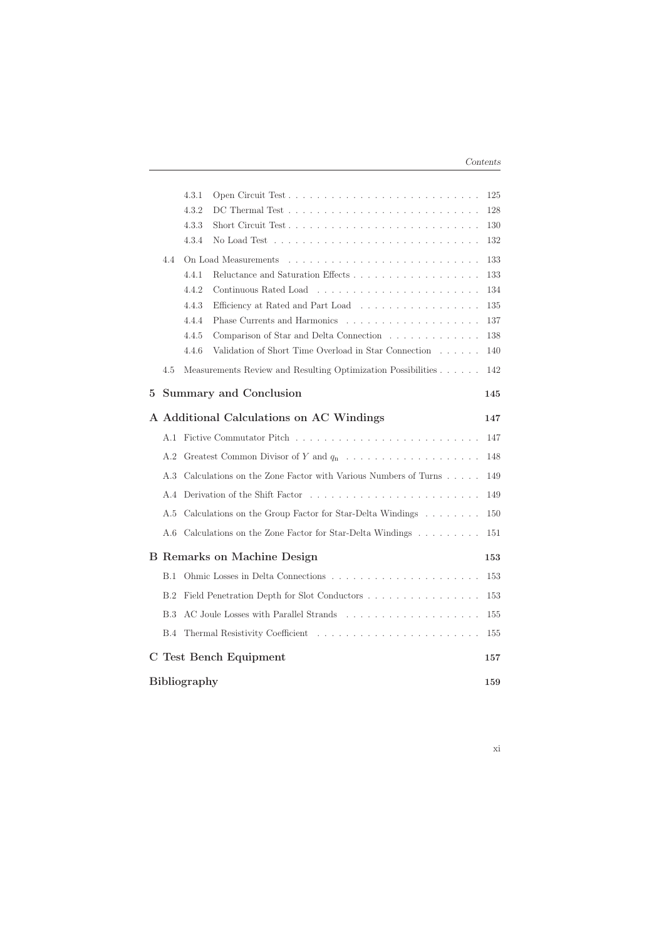|                     |                                    | 4.3.1 |                                                               | 125 |
|---------------------|------------------------------------|-------|---------------------------------------------------------------|-----|
|                     |                                    | 4.3.2 |                                                               | 128 |
|                     |                                    | 4.3.3 |                                                               | 130 |
|                     |                                    | 4.3.4 |                                                               | 132 |
|                     | 4.4                                |       | On Load Measurements                                          | 133 |
|                     |                                    | 4.4.1 |                                                               | 133 |
|                     |                                    | 4.4.2 |                                                               | 134 |
|                     |                                    | 4.4.3 | Efficiency at Rated and Part Load                             | 135 |
|                     |                                    | 4.4.4 |                                                               | 137 |
|                     |                                    | 4.4.5 | Comparison of Star and Delta Connection                       | 138 |
|                     |                                    | 4.4.6 | Validation of Short Time Overload in Star Connection          | 140 |
|                     | 4.5                                |       | Measurements Review and Resulting Optimization Possibilities  | 142 |
| 5                   |                                    |       | Summary and Conclusion                                        | 145 |
|                     |                                    |       | A Additional Calculations on AC Windings                      | 147 |
|                     |                                    |       |                                                               | 147 |
|                     |                                    |       | A.2 Greatest Common Divisor of Y and $q_n$                    | 148 |
|                     | A.3                                |       | Calculations on the Zone Factor with Various Numbers of Turns | 149 |
|                     | A.4                                |       |                                                               | 149 |
|                     | A.5                                |       | Calculations on the Group Factor for Star-Delta Windings      | 150 |
|                     | A.6                                |       | Calculations on the Zone Factor for Star-Delta Windings       | 151 |
|                     | <b>B</b> Remarks on Machine Design |       |                                                               | 153 |
|                     | B.1                                |       |                                                               | 153 |
|                     | B.2                                |       | Field Penetration Depth for Slot Conductors                   | 153 |
|                     | <b>B.3</b>                         |       |                                                               | 155 |
|                     | <b>B.4</b>                         |       |                                                               | 155 |
| C.                  |                                    |       | <b>Test Bench Equipment</b>                                   | 157 |
| <b>Bibliography</b> |                                    |       | 159                                                           |     |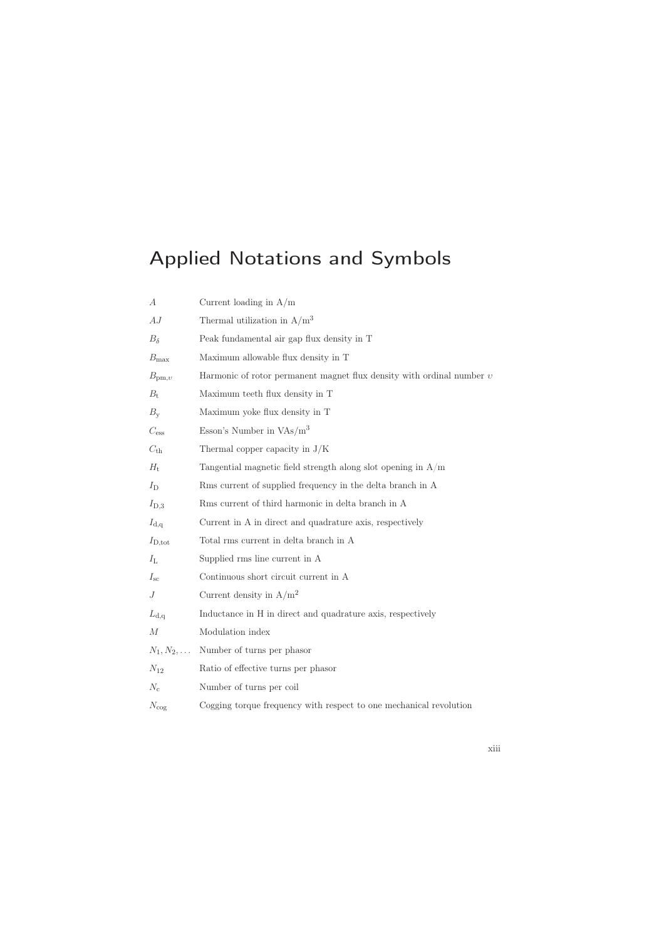# Applied Notations and Symbols

| А                  | Current loading in $A/m$                                                |
|--------------------|-------------------------------------------------------------------------|
| AJ                 | Thermal utilization in $A/m^3$                                          |
| $B_{\delta}$       | Peak fundamental air gap flux density in T                              |
| $B_{\text{max}}$   | Maximum allowable flux density in T                                     |
| $B_{\text{pm},v}$  | Harmonic of rotor permanent magnet flux density with ordinal number $v$ |
| $B_{\rm t}$        | Maximum teeth flux density in T                                         |
| $B_{\rm y}$        | Maximum yoke flux density in T                                          |
| $C_{\rm ess}$      | Esson's Number in $VAs/m^3$                                             |
| $C_{\text{th}}$    | Thermal copper capacity in $J/K$                                        |
| $H_{\rm t}$        | Tangential magnetic field strength along slot opening in $A/m$          |
| $I_{\rm D}$        | Rms current of supplied frequency in the delta branch in A              |
| $I_{\text{D},3}$   | Rms current of third harmonic in delta branch in A                      |
| $I_{\rm d,q}$      | Current in A in direct and quadrature axis, respectively                |
| $I_{\text{D,tot}}$ | Total rms current in delta branch in A                                  |
| $I_{\rm L}$        | Supplied rms line current in A                                          |
| $I_{\rm sc}$       | Continuous short circuit current in A                                   |
| J                  | Current density in $A/m^2$                                              |
| $L_{\rm d,q}$      | Inductance in H in direct and quadrature axis, respectively             |
| М                  | Modulation index                                                        |
| $N_1, N_2, \ldots$ | Number of turns per phasor                                              |
| $N_{12}$           | Ratio of effective turns per phasor                                     |
| $N_c$              | Number of turns per coil                                                |
| $N_{\rm cog}$      | Cogging torque frequency with respect to one mechanical revolution      |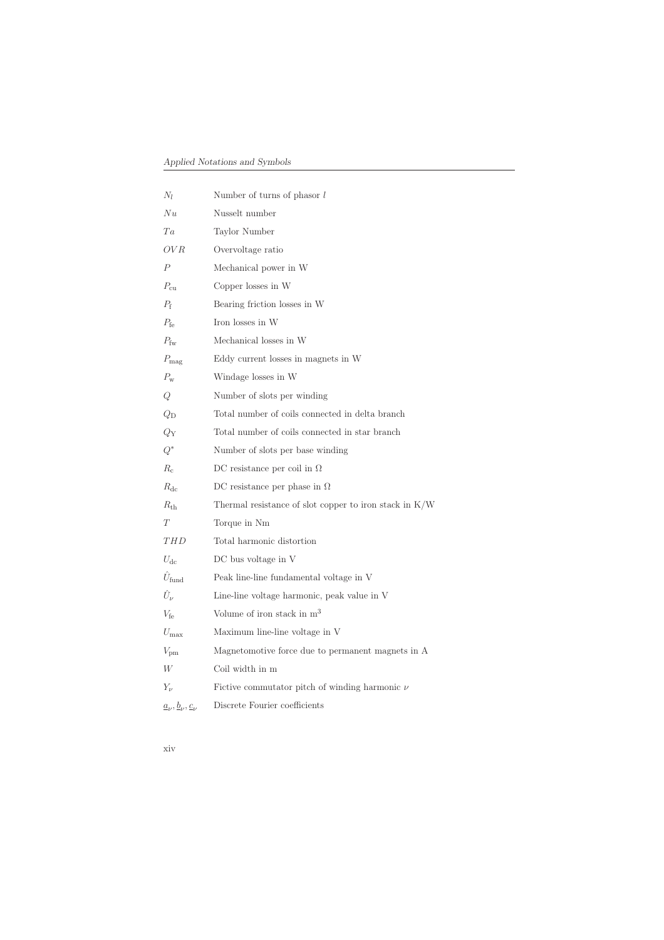| $N_l$                                                           | Number of turns of phasor $l$                          |
|-----------------------------------------------------------------|--------------------------------------------------------|
| Nu                                                              | Nusselt number                                         |
| Ta                                                              | Taylor Number                                          |
| OV R                                                            | Overvoltage ratio                                      |
| $\,P$                                                           | Mechanical power in W                                  |
| $P_{\rm cu}$                                                    | Copper losses in W                                     |
| $P_{\rm f}$                                                     | Bearing friction losses in W                           |
| $P_{\text{fe}}$                                                 | Iron losses in W                                       |
| $P_{\rm fw}$                                                    | Mechanical losses in W                                 |
| $P_{\text{mag}}$                                                | Eddy current losses in magnets in W                    |
| $P_{\rm w}$                                                     | Windage losses in W                                    |
| Q                                                               | Number of slots per winding                            |
| $Q_{\rm D}$                                                     | Total number of coils connected in delta branch        |
| $Q_{\rm Y}$                                                     | Total number of coils connected in star branch         |
| $Q^*$                                                           | Number of slots per base winding                       |
| $R_c$                                                           | DC resistance per coil in $\Omega$                     |
| $R_{\rm dc}$                                                    | DC resistance per phase in $\Omega$                    |
| $R_{\rm th}$                                                    | Thermal resistance of slot copper to iron stack in K/W |
| Т                                                               | Torque in Nm                                           |
| THD                                                             | Total harmonic distortion                              |
| $U_{\text{dc}}$                                                 | DC bus voltage in V                                    |
| $\hat{U}_{\mathrm{fund}}$                                       | Peak line-line fundamental voltage in V                |
| $\hat{U}_{\nu}$                                                 | Line-line voltage harmonic, peak value in V            |
| $V_{\text{fe}}$                                                 | Volume of iron stack in $m^3$                          |
| $U_{\rm max}$                                                   | Maximum line-line voltage in V                         |
| $V_{\text{pm}}$                                                 | Magnetomotive force due to permanent magnets in A      |
| W                                                               | Coil width in m                                        |
| Υ.,                                                             | Fictive commutator pitch of winding harmonic $\nu$     |
| $\underline{a}_{\nu}, \underline{b}_{\nu}, \underline{c}_{\nu}$ | Discrete Fourier coefficients                          |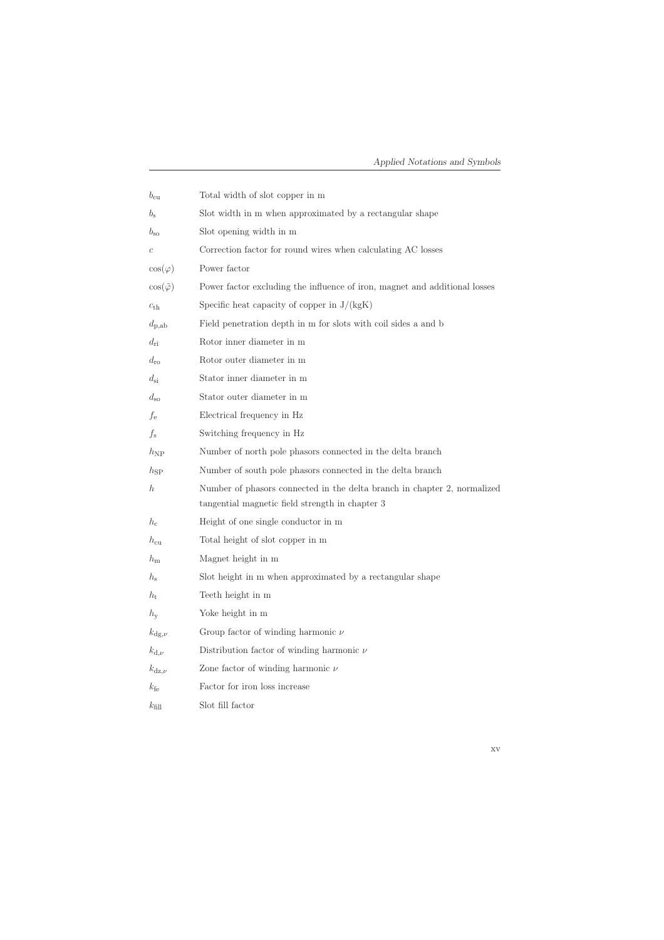| $b_{\rm cu}$            | Total width of slot copper in m                                                                                             |
|-------------------------|-----------------------------------------------------------------------------------------------------------------------------|
| $b_{\rm s}$             | Slot width in m when approximated by a rectangular shape                                                                    |
| $b_{\rm so}$            | Slot opening width in m                                                                                                     |
| $\boldsymbol{c}$        | Correction factor for round wires when calculating AC losses                                                                |
| $\cos(\varphi)$         | Power factor                                                                                                                |
| $\cos(\tilde{\varphi})$ | Power factor excluding the influence of iron, magnet and additional losses                                                  |
| $c_{\text{th}}$         | Specific heat capacity of copper in $J/(kgK)$                                                                               |
| $d_{\rm p,ab}$          | Field penetration depth in m for slots with coil sides a and b                                                              |
| $d_{\rm ri}$            | Rotor inner diameter in m                                                                                                   |
| $d_{\rm ro}$            | Rotor outer diameter in m                                                                                                   |
| $d_{\rm si}$            | Stator inner diameter in m                                                                                                  |
| $d_{\rm so}$            | Stator outer diameter in m                                                                                                  |
| fe                      | Electrical frequency in Hz                                                                                                  |
| $f_{\rm s}$             | Switching frequency in Hz                                                                                                   |
| $h_{\rm NP}$            | Number of north pole phasors connected in the delta branch                                                                  |
| $h_{\rm SP}$            | Number of south pole phasors connected in the delta branch                                                                  |
| $\hbar$                 | Number of phasors connected in the delta branch in chapter 2, normalized<br>tangential magnetic field strength in chapter 3 |
| $h_{c}$                 | Height of one single conductor in m                                                                                         |
| $h_{\rm cu}$            | Total height of slot copper in m                                                                                            |
| $h_{\rm m}$             | Magnet height in m                                                                                                          |
| $h_{\rm s}$             | Slot height in m when approximated by a rectangular shape                                                                   |
| $h_{\rm t}$             | Teeth height in m                                                                                                           |
| $h_{\rm v}$             | Yoke height in m                                                                                                            |
| $k_{\text{dg},\nu}$     | Group factor of winding harmonic $\nu$                                                                                      |
| $k_{\mathrm{d},\nu}$    | Distribution factor of winding harmonic $\nu$                                                                               |
| $k_{\rm{dz},\nu}$       | Zone factor of winding harmonic $\nu$                                                                                       |
| $k_{\rm fe}$            | Factor for iron loss increase                                                                                               |
| $k_{\text{fill}}$       | Slot fill factor                                                                                                            |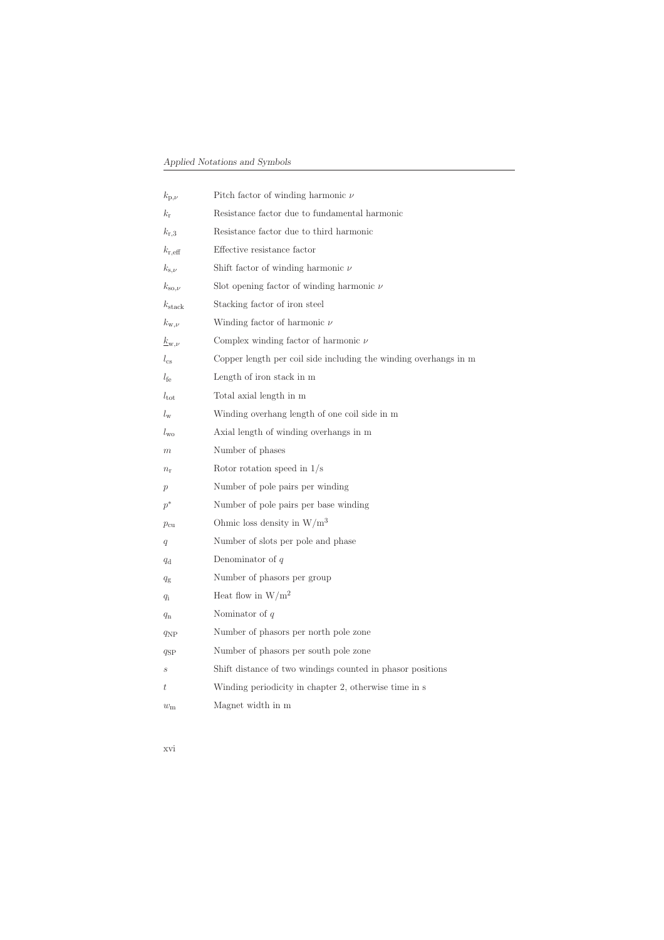| $k_{\mathrm{p},\nu}$    | Pitch factor of winding harmonic $\nu$                           |
|-------------------------|------------------------------------------------------------------|
| $k_{\rm r}$             | Resistance factor due to fundamental harmonic                    |
| $k_{\rm r,3}$           | Resistance factor due to third harmonic                          |
| $k_{\rm r,eff}$         | Effective resistance factor                                      |
| $k_{s,\nu}$             | Shift factor of winding harmonic $\nu$                           |
| $k_{\rm so,\nu}$        | Slot opening factor of winding harmonic $\nu$                    |
| $k_{\rm stack}$         | Stacking factor of iron steel                                    |
| $k_{\mathrm{w},\nu}$    | Winding factor of harmonic $\nu$                                 |
| $\underline{k}_{w,\nu}$ | Complex winding factor of harmonic $\nu$                         |
| $l_{\rm cs}$            | Copper length per coil side including the winding overhangs in m |
| $l_{\text{fe}}$         | Length of iron stack in m                                        |
| $l_{\rm tot}$           | Total axial length in m                                          |
| $l_{\rm w}$             | Winding overhang length of one coil side in m                    |
| $l_{\rm wo}$            | Axial length of winding overhangs in m                           |
| $_{m}$                  | Number of phases                                                 |
| $n_{\rm r}$             | Rotor rotation speed in $1/s$                                    |
| $\boldsymbol{p}$        | Number of pole pairs per winding                                 |
| $p^*$                   | Number of pole pairs per base winding                            |
| $p_{\rm cu}$            | Ohmic loss density in $\rm W/m^3$                                |
| q                       | Number of slots per pole and phase                               |
| $q_{\rm d}$             | Denominator of $q$                                               |
| $q_{\rm g}$             | Number of phasors per group                                      |
| $q_i$                   | Heat flow in $W/m^2$                                             |
| $q_{\rm n}$             | Nominator of $q$                                                 |
| $q_{\rm NP}$            | Number of phasors per north pole zone                            |
| $q_{\rm SP}$            | Number of phasors per south pole zone                            |
| S                       | Shift distance of two windings counted in phasor positions       |
| t                       | Winding periodicity in chapter 2, otherwise time in s            |
| $w_{\rm m}$             | Magnet width in m                                                |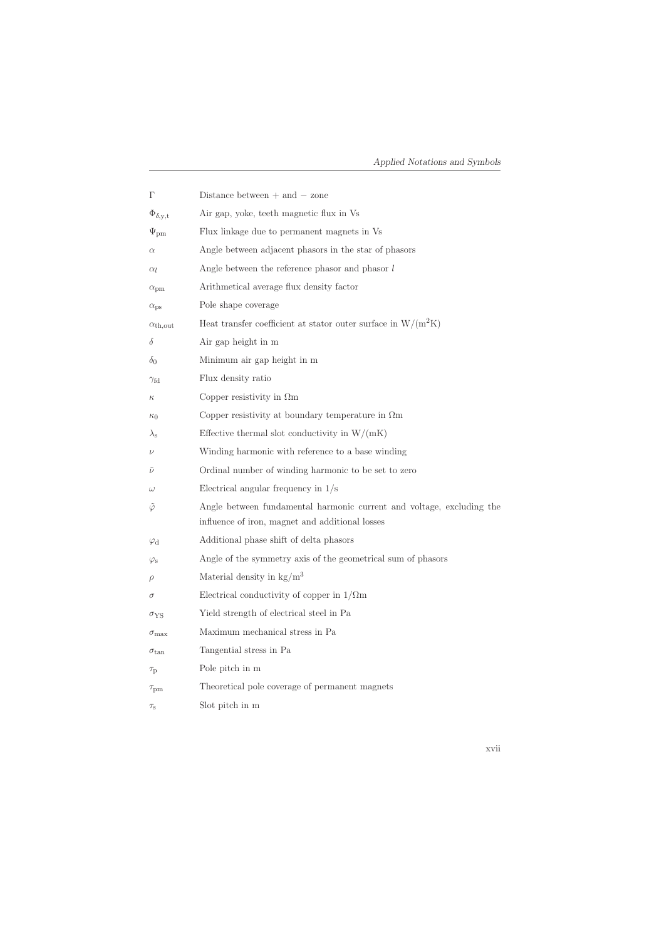|                                         | Distance between $+$ and $-$ zone                                                                                        |
|-----------------------------------------|--------------------------------------------------------------------------------------------------------------------------|
| $\Phi_{\delta, \mathbf{y}, \mathbf{t}}$ | Air gap, yoke, teeth magnetic flux in Vs                                                                                 |
| $\Psi_{\rm pm}$                         | Flux linkage due to permanent magnets in Vs                                                                              |
| $\alpha$                                | Angle between adjacent phasors in the star of phasors                                                                    |
| $\alpha_l$                              | Angle between the reference phasor and phasor $l$                                                                        |
| $\alpha_{\rm pm}$                       | Arithmetical average flux density factor                                                                                 |
| $\alpha_{\rm ps}$                       | Pole shape coverage                                                                                                      |
| $\alpha_{\rm th,out}$                   | Heat transfer coefficient at stator outer surface in $W/(m^2K)$                                                          |
| δ                                       | Air gap height in m                                                                                                      |
| $\delta_0$                              | Minimum air gap height in m                                                                                              |
| $\gamma_{\rm fd}$                       | Flux density ratio                                                                                                       |
| $\kappa$                                | Copper resistivity in $\Omega$ m                                                                                         |
| $\kappa_0$                              | Copper resistivity at boundary temperature in $\Omega$ m                                                                 |
| $\lambda_{\rm s}$                       | Effective thermal slot conductivity in $W/(mK)$                                                                          |
| $\nu$                                   | Winding harmonic with reference to a base winding                                                                        |
| $\overline{\nu}$                        | Ordinal number of winding harmonic to be set to zero                                                                     |
| $\omega$                                | Electrical angular frequency in $1/s$                                                                                    |
| $\varphi$                               | Angle between fundamental harmonic current and voltage, excluding the<br>influence of iron, magnet and additional losses |
| $\varphi_\mathrm{d}$                    | Additional phase shift of delta phasors                                                                                  |
| $\varphi_{\rm s}$                       | Angle of the symmetry axis of the geometrical sum of phasors                                                             |
| $\rho$                                  | Material density in $\text{kg/m}^3$                                                                                      |
| $\sigma$                                | Electrical conductivity of copper in $1/\Omega$ m                                                                        |
| $\sigma_{\rm{YS}}$                      | Yield strength of electrical steel in Pa                                                                                 |
| $\sigma_{\rm max}$                      | Maximum mechanical stress in Pa                                                                                          |
| $\sigma_{\tan}$                         | Tangential stress in Pa                                                                                                  |
| $\tau_{\rm p}$                          | Pole pitch in m                                                                                                          |
| $\tau_{\text{pm}}$                      | Theoretical pole coverage of permanent magnets                                                                           |
| $\tau_{\rm s}$                          | Slot pitch in m                                                                                                          |